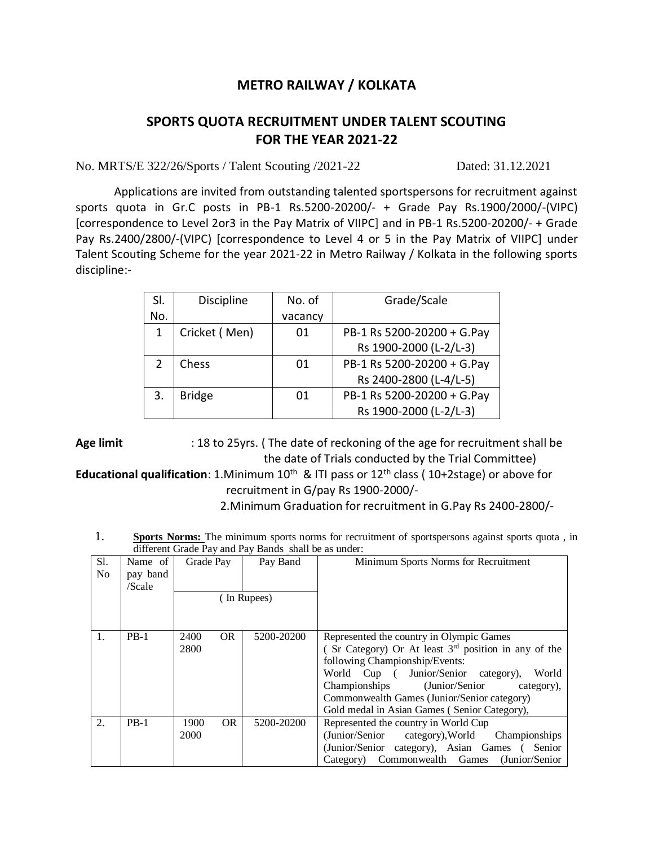## **METRO RAILWAY / KOLKATA**

## **SPORTS QUOTA RECRUITMENT UNDER TALENT SCOUTING FOR THE YEAR 2021-22**

No. MRTS/E 322/26/Sports / Talent Scouting /2021-22 Dated: 31.12.2021

Applications are invited from outstanding talented sportspersons for recruitment against sports quota in Gr.C posts in PB-1 Rs.5200-20200/- + Grade Pay Rs.1900/2000/-(VIPC) [correspondence to Level 2or3 in the Pay Matrix of VIIPC] and in PB-1 Rs.5200-20200/- + Grade Pay Rs.2400/2800/-(VIPC) [correspondence to Level 4 or 5 in the Pay Matrix of VIIPC] under Talent Scouting Scheme for the year 2021-22 in Metro Railway / Kolkata in the following sports discipline:-

| SI.           | <b>Discipline</b> | No. of  | Grade/Scale                |
|---------------|-------------------|---------|----------------------------|
| No.           |                   | vacancy |                            |
| 1             | Cricket (Men)     | 01      | PB-1 Rs 5200-20200 + G.Pay |
|               |                   |         | Rs 1900-2000 (L-2/L-3)     |
| $\mathcal{P}$ | Chess             | 01      | PB-1 Rs 5200-20200 + G.Pay |
|               |                   |         | Rs 2400-2800 (L-4/L-5)     |
| 3.            | <b>Bridge</b>     | 01      | PB-1 Rs 5200-20200 + G.Pay |
|               |                   |         | Rs 1900-2000 (L-2/L-3)     |

**Age limit** : 18 to 25yrs. ( The date of reckoning of the age for recruitment shall be the date of Trials conducted by the Trial Committee)

Educational qualification: 1.Minimum 10<sup>th</sup> & ITI pass or 12<sup>th</sup> class (10+2stage) or above for recruitment in G/pay Rs 1900-2000/-

2.Minimum Graduation for recruitment in G.Pay Rs 2400-2800/-

1. **Sports Norms:** The minimum sports norms for recruitment of sportspersons against sports quota , in different Grade Pay and Pay Bands shall be as under:

| Sl.<br>No. | Name of<br>pay band<br>/Scale | Grade Pay                 | Pay Band    | Minimum Sports Norms for Recruitment                                                                                                                                                                                                                                                                                                |
|------------|-------------------------------|---------------------------|-------------|-------------------------------------------------------------------------------------------------------------------------------------------------------------------------------------------------------------------------------------------------------------------------------------------------------------------------------------|
|            |                               |                           | (In Rupees) |                                                                                                                                                                                                                                                                                                                                     |
| 1.         | $PB-1$                        | <b>OR</b><br>2400<br>2800 | 5200-20200  | Represented the country in Olympic Games<br>(Sr Category) Or At least $3rd$ position in any of the<br>following Championship/Events:<br>World Cup ( Junior/Senior category),<br>World<br>Championships (Junior/Senior)<br>category).<br>Commonwealth Games (Junior/Senior category)<br>Gold medal in Asian Games (Senior Category), |
| 2.         | $PB-1$                        | 1900<br><b>OR</b><br>2000 | 5200-20200  | Represented the country in World Cup<br>(Junior/Senior category), World Championships<br>(Junior/Senior category), Asian Games (<br>Senior<br>Category) Commonwealth Games (Junior/Senior                                                                                                                                           |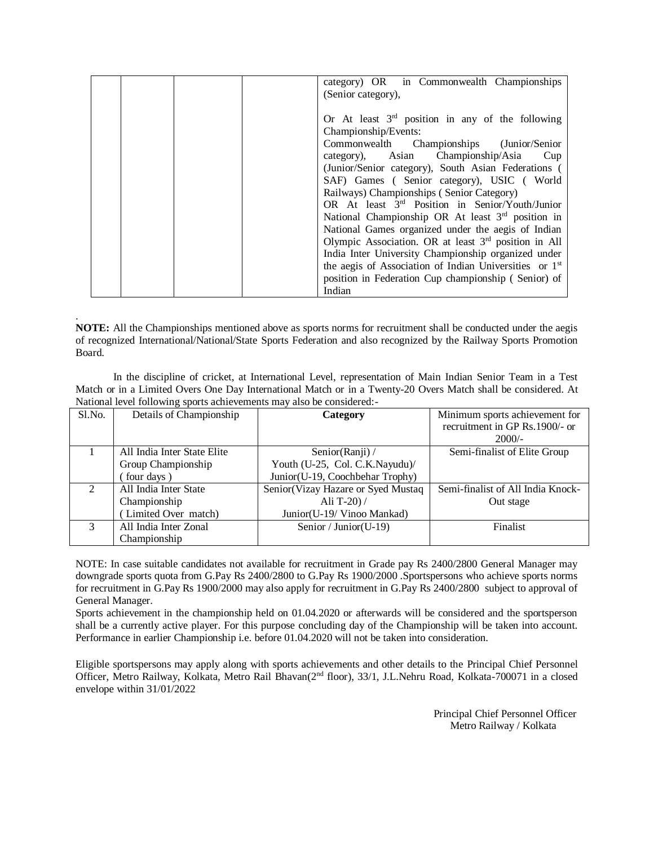| category) OR in Commonwealth Championships                         |
|--------------------------------------------------------------------|
| (Senior category),                                                 |
|                                                                    |
| Or At least $3rd$ position in any of the following                 |
| Championship/Events:                                               |
| Commonwealth Championships (Junior/Senior)                         |
| category), Asian Championship/Asia<br>Cup                          |
| (Junior/Senior category), South Asian Federations (                |
| SAF) Games (Senior category), USIC (World                          |
| Railways) Championships (Senior Category)                          |
| OR At least 3 <sup>rd</sup> Position in Senior/Youth/Junior        |
| National Championship OR At least 3 <sup>rd</sup> position in      |
| National Games organized under the aegis of Indian                 |
| Olympic Association. OR at least 3 <sup>rd</sup> position in All   |
| India Inter University Championship organized under                |
| the aegis of Association of Indian Universities or 1 <sup>st</sup> |
| position in Federation Cup championship (Senior) of                |
| Indian                                                             |

**NOTE:** All the Championships mentioned above as sports norms for recruitment shall be conducted under the aegis of recognized International/National/State Sports Federation and also recognized by the Railway Sports Promotion Board.

.

 In the discipline of cricket, at International Level, representation of Main Indian Senior Team in a Test Match or in a Limited Overs One Day International Match or in a Twenty-20 Overs Match shall be considered. At National level following sports achievements may also be considered:-

| Sl.No. | Details of Championship     | Category                            | Minimum sports achievement for    |
|--------|-----------------------------|-------------------------------------|-----------------------------------|
|        |                             |                                     | recruitment in GP Rs.1900/- or    |
|        |                             |                                     | $2000/-$                          |
|        | All India Inter State Elite | Senior(Ranji) /                     | Semi-finalist of Elite Group      |
|        | Group Championship          | Youth (U-25, Col. C.K.Nayudu)/      |                                   |
|        | (four days)                 | Junior(U-19, Coochbehar Trophy)     |                                   |
| 2      | All India Inter State       | Senior (Vizay Hazare or Syed Mustaq | Semi-finalist of All India Knock- |
|        | Championship                | Ali T-20 $)/$                       | Out stage                         |
|        | (Limited Over match)        | Junior(U-19/Vinoo Mankad)           |                                   |
| 3      | All India Inter Zonal       | Senior / Junior (U-19)              | Finalist                          |
|        | Championship                |                                     |                                   |

NOTE: In case suitable candidates not available for recruitment in Grade pay Rs 2400/2800 General Manager may downgrade sports quota from G.Pay Rs 2400/2800 to G.Pay Rs 1900/2000 .Sportspersons who achieve sports norms for recruitment in G.Pay Rs 1900/2000 may also apply for recruitment in G.Pay Rs 2400/2800 subject to approval of General Manager.

Sports achievement in the championship held on 01.04.2020 or afterwards will be considered and the sportsperson shall be a currently active player. For this purpose concluding day of the Championship will be taken into account. Performance in earlier Championship i.e. before 01.04.2020 will not be taken into consideration.

Eligible sportspersons may apply along with sports achievements and other details to the Principal Chief Personnel Officer, Metro Railway, Kolkata, Metro Rail Bhavan(2nd floor), 33/1, J.L.Nehru Road, Kolkata-700071 in a closed envelope within 31/01/2022

> Principal Chief Personnel Officer Metro Railway / Kolkata